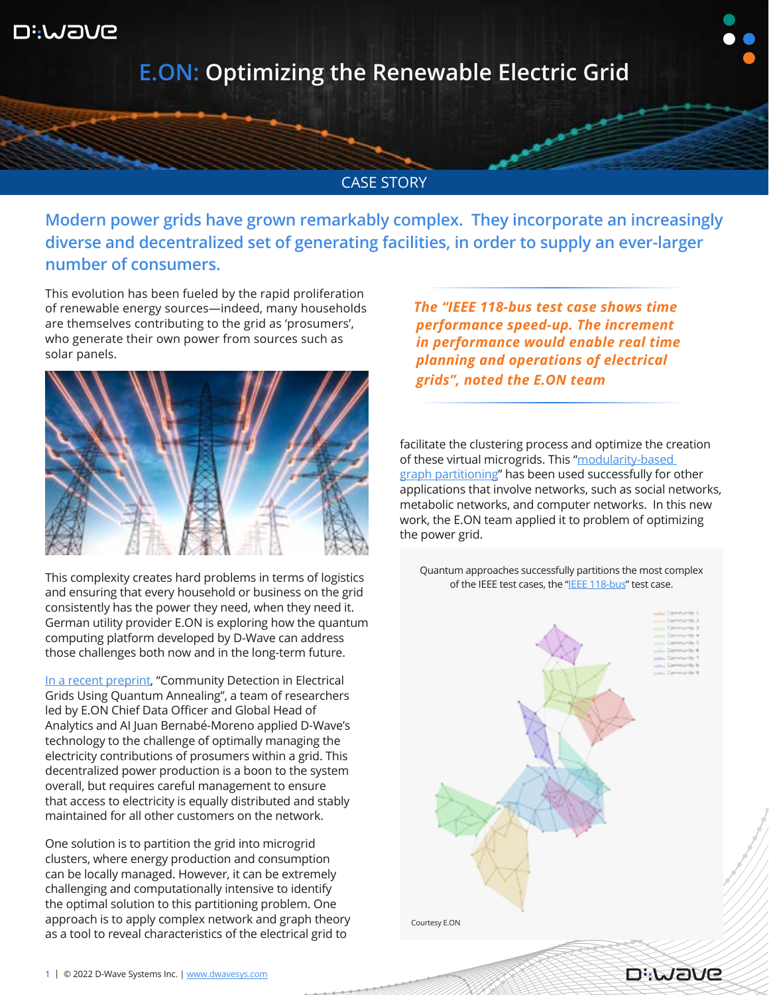

## **E.ON: Optimizing the Renewable Electric Grid**

## CASE STORY

**Modern power grids have grown remarkably complex. They incorporate an increasingly diverse and decentralized set of generating facilities, in order to supply an ever-larger number of consumers.**

This evolution has been fueled by the rapid proliferation of renewable energy sources—indeed, many households are themselves contributing to the grid as 'prosumers', who generate their own power from sources such as solar panels.



This complexity creates hard problems in terms of logistics and ensuring that every household or business on the grid consistently has the power they need, when they need it. German utility provider E.ON is exploring how the quantum computing platform developed by D-Wave can address those challenges both now and in the long-term future.

[In a recent preprint,](https://arxiv.org/abs/2112.08300) "Community Detection in Electrical Grids Using Quantum Annealing", a team of researchers led by E.ON Chief Data Officer and Global Head of Analytics and AI Juan Bernabé-Moreno applied D-Wave's technology to the challenge of optimally managing the electricity contributions of prosumers within a grid. This decentralized power production is a boon to the system overall, but requires careful management to ensure that access to electricity is equally distributed and stably maintained for all other customers on the network.

One solution is to partition the grid into microgrid clusters, where energy production and consumption can be locally managed. However, it can be extremely challenging and computationally intensive to identify the optimal solution to this partitioning problem. One approach is to apply complex network and graph theory as a tool to reveal characteristics of the electrical grid to

 *The "IEEE 118-bus test case shows time performance speed-up. The increment in performance would enable real time planning and operations of electrical grids", noted the E.ON team*

facilitate the clustering process and optimize the creation of these virtual microgrids. This "modularity-based [graph partitioning"](https://en.wikipedia.org/wiki/Modularity_(networks)) has been used successfully for other applications that involve networks, such as social networks, metabolic networks, and computer networks. In this new work, the E.ON team applied it to problem of optimizing the power grid.

Quantum approaches successfully partitions the most complex of the IEEE test cases, the "[IEEE 118-bus](https://icseg.iti.illinois.edu/ieee-118-bus-system/)" test case.



**DiJAJIE**